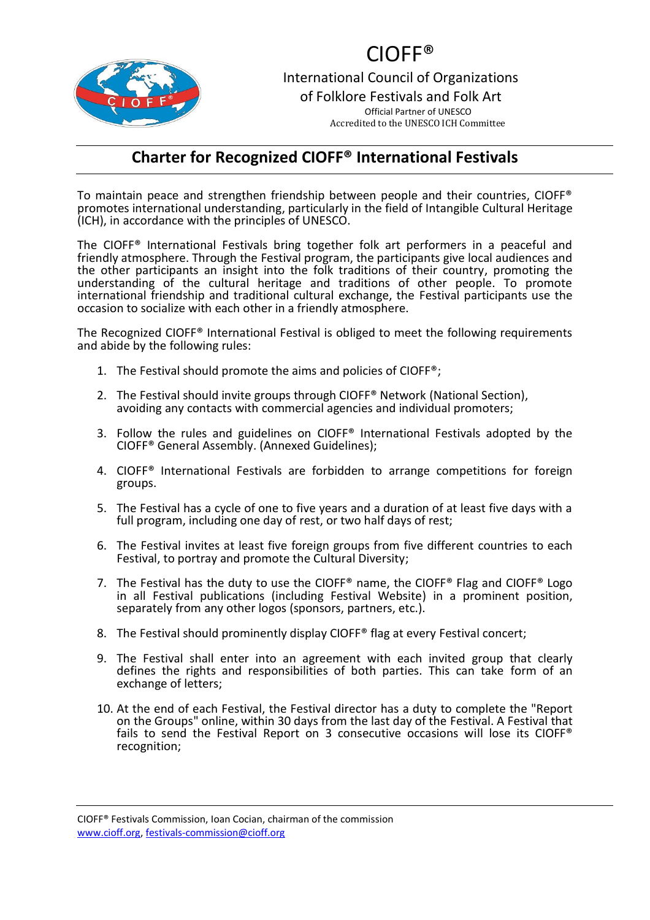

## CIOFF®

International Council of Organizations of Folklore Festivals and Folk Art Official Partner of UNESCO Accredited to the UNESCO ICH Committee

## **Charter for Recognized CIOFF® International Festivals**

To maintain peace and strengthen friendship between people and their countries, CIOFF® promotes international understanding, particularly in the field of Intangible Cultural Heritage (ICH), in accordance with the principles of UNESCO.

The CIOFF® International Festivals bring together folk art performers in a peaceful and friendly atmosphere. Through the Festival program, the participants give local audiences and the other participants an insight into the folk traditions of their country, promoting the understanding of the cultural heritage and traditions of other people. To promote international friendship and traditional cultural exchange, the Festival participants use the occasion to socialize with each other in a friendly atmosphere.

The Recognized CIOFF® International Festival is obliged to meet the following requirements and abide by the following rules:

- 1. The Festival should promote the aims and policies of CIOFF®;
- 2. The Festival should invite groups through CIOFF® Network (National Section), avoiding any contacts with commercial agencies and individual promoters;
- 3. Follow the rules and guidelines on CIOFF® International Festivals adopted by the CIOFF® General Assembly. (Annexed Guidelines);
- 4. CIOFF® International Festivals are forbidden to arrange competitions for foreign groups.
- 5. The Festival has a cycle of one to five years and a duration of at least five days with a full program, including one day of rest, or two half days of rest;
- 6. The Festival invites at least five foreign groups from five different countries to each Festival, to portray and promote the Cultural Diversity;
- 7. The Festival has the duty to use the CIOFF® name, the CIOFF® Flag and CIOFF® Logo in all Festival publications (including Festival Website) in a prominent position, separately from any other logos (sponsors, partners, etc.).
- 8. The Festival should prominently display CIOFF® flag at every Festival concert;
- 9. The Festival shall enter into an agreement with each invited group that clearly defines the rights and responsibilities of both parties. This can take form of an exchange of letters;
- 10. At the end of each Festival, the Festival director has a duty to complete the "Report on the Groups" online, within 30 days from the last day of the Festival. A Festival that fails to send the Festival Report on 3 consecutive occasions will lose its CIOFF® recognition;

CIOFF® Festivals Commission, Ioan Cocian, chairman of the commission [www.cioff.org,](http://www.cioff.org/) [festivals-commission@cioff.org](mailto:pais@cioff.org)